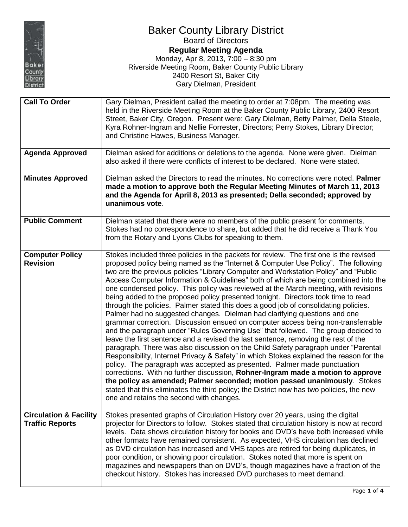

## Baker County Library District Board of Directors **Regular Meeting Agenda** Monday, Apr 8, 2013, 7:00 – 8:30 pm Riverside Meeting Room, Baker County Public Library 2400 Resort St, Baker City Gary Dielman, President

| <b>Call To Order</b>                                        | Gary Dielman, President called the meeting to order at 7:08pm. The meeting was<br>held in the Riverside Meeting Room at the Baker County Public Library, 2400 Resort<br>Street, Baker City, Oregon. Present were: Gary Dielman, Betty Palmer, Della Steele,<br>Kyra Rohner-Ingram and Nellie Forrester, Directors; Perry Stokes, Library Director;<br>and Christine Hawes, Business Manager.                                                                                                                                                                                                                                                                                                                                                                                                                                                                                                                                                                                                                                                                                                                                                                                                                                                                                                                                                                                                                                                                                                                                                   |
|-------------------------------------------------------------|------------------------------------------------------------------------------------------------------------------------------------------------------------------------------------------------------------------------------------------------------------------------------------------------------------------------------------------------------------------------------------------------------------------------------------------------------------------------------------------------------------------------------------------------------------------------------------------------------------------------------------------------------------------------------------------------------------------------------------------------------------------------------------------------------------------------------------------------------------------------------------------------------------------------------------------------------------------------------------------------------------------------------------------------------------------------------------------------------------------------------------------------------------------------------------------------------------------------------------------------------------------------------------------------------------------------------------------------------------------------------------------------------------------------------------------------------------------------------------------------------------------------------------------------|
| <b>Agenda Approved</b>                                      | Dielman asked for additions or deletions to the agenda. None were given. Dielman<br>also asked if there were conflicts of interest to be declared. None were stated.                                                                                                                                                                                                                                                                                                                                                                                                                                                                                                                                                                                                                                                                                                                                                                                                                                                                                                                                                                                                                                                                                                                                                                                                                                                                                                                                                                           |
| <b>Minutes Approved</b>                                     | Dielman asked the Directors to read the minutes. No corrections were noted. Palmer<br>made a motion to approve both the Regular Meeting Minutes of March 11, 2013<br>and the Agenda for April 8, 2013 as presented; Della seconded; approved by<br>unanimous vote.                                                                                                                                                                                                                                                                                                                                                                                                                                                                                                                                                                                                                                                                                                                                                                                                                                                                                                                                                                                                                                                                                                                                                                                                                                                                             |
| <b>Public Comment</b>                                       | Dielman stated that there were no members of the public present for comments.<br>Stokes had no correspondence to share, but added that he did receive a Thank You<br>from the Rotary and Lyons Clubs for speaking to them.                                                                                                                                                                                                                                                                                                                                                                                                                                                                                                                                                                                                                                                                                                                                                                                                                                                                                                                                                                                                                                                                                                                                                                                                                                                                                                                     |
| <b>Computer Policy</b><br><b>Revision</b>                   | Stokes included three policies in the packets for review. The first one is the revised<br>proposed policy being named as the "Internet & Computer Use Policy". The following<br>two are the previous policies "Library Computer and Workstation Policy" and "Public<br>Access Computer Information & Guidelines" both of which are being combined into the<br>one condensed policy. This policy was reviewed at the March meeting, with revisions<br>being added to the proposed policy presented tonight. Directors took time to read<br>through the policies. Palmer stated this does a good job of consolidating policies.<br>Palmer had no suggested changes. Dielman had clarifying questions and one<br>grammar correction. Discussion ensued on computer access being non-transferrable<br>and the paragraph under "Rules Governing Use" that followed. The group decided to<br>leave the first sentence and a revised the last sentence, removing the rest of the<br>paragraph. There was also discussion on the Child Safety paragraph under "Parental<br>Responsibility, Internet Privacy & Safety" in which Stokes explained the reason for the<br>policy. The paragraph was accepted as presented. Palmer made punctuation<br>corrections. With no further discussion, Rohner-Ingram made a motion to approve<br>the policy as amended; Palmer seconded; motion passed unanimously. Stokes<br>stated that this eliminates the third policy; the District now has two policies, the new<br>one and retains the second with changes. |
| <b>Circulation &amp; Facility</b><br><b>Traffic Reports</b> | Stokes presented graphs of Circulation History over 20 years, using the digital<br>projector for Directors to follow. Stokes stated that circulation history is now at record<br>levels. Data shows circulation history for books and DVD's have both increased while<br>other formats have remained consistent. As expected, VHS circulation has declined<br>as DVD circulation has increased and VHS tapes are retired for being duplicates, in<br>poor condition, or showing poor circulation. Stokes noted that more is spent on<br>magazines and newspapers than on DVD's, though magazines have a fraction of the<br>checkout history. Stokes has increased DVD purchases to meet demand.                                                                                                                                                                                                                                                                                                                                                                                                                                                                                                                                                                                                                                                                                                                                                                                                                                                |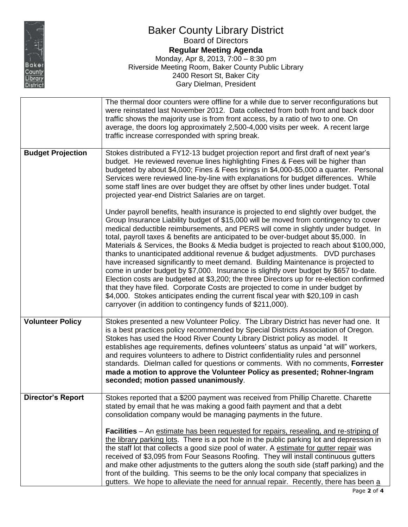

## Baker County Library District Board of Directors **Regular Meeting Agenda** Monday, Apr 8, 2013, 7:00 – 8:30 pm Riverside Meeting Room, Baker County Public Library 2400 Resort St, Baker City Gary Dielman, President

|                          | The thermal door counters were offline for a while due to server reconfigurations but<br>were reinstated last November 2012. Data collected from both front and back door<br>traffic shows the majority use is from front access, by a ratio of two to one. On<br>average, the doors log approximately 2,500-4,000 visits per week. A recent large<br>traffic increase corresponded with spring break.                                                                                                                                                                                                                                                                                                                                                                                                                                                                                                                                                                                                                                              |
|--------------------------|-----------------------------------------------------------------------------------------------------------------------------------------------------------------------------------------------------------------------------------------------------------------------------------------------------------------------------------------------------------------------------------------------------------------------------------------------------------------------------------------------------------------------------------------------------------------------------------------------------------------------------------------------------------------------------------------------------------------------------------------------------------------------------------------------------------------------------------------------------------------------------------------------------------------------------------------------------------------------------------------------------------------------------------------------------|
| <b>Budget Projection</b> | Stokes distributed a FY12-13 budget projection report and first draft of next year's<br>budget. He reviewed revenue lines highlighting Fines & Fees will be higher than<br>budgeted by about \$4,000; Fines & Fees brings in \$4,000-\$5,000 a quarter. Personal<br>Services were reviewed line-by-line with explanations for budget differences. While<br>some staff lines are over budget they are offset by other lines under budget. Total<br>projected year-end District Salaries are on target.                                                                                                                                                                                                                                                                                                                                                                                                                                                                                                                                               |
|                          | Under payroll benefits, health insurance is projected to end slightly over budget, the<br>Group Insurance Liability budget of \$15,000 will be moved from contingency to cover<br>medical deductible reimbursements, and PERS will come in slightly under budget. In<br>total, payroll taxes & benefits are anticipated to be over-budget about \$5,000. In<br>Materials & Services, the Books & Media budget is projected to reach about \$100,000,<br>thanks to unanticipated additional revenue & budget adjustments. DVD purchases<br>have increased significantly to meet demand. Building Maintenance is projected to<br>come in under budget by \$7,000. Insurance is slightly over budget by \$657 to-date.<br>Election costs are budgeted at \$3,200; the three Directors up for re-election confirmed<br>that they have filed. Corporate Costs are projected to come in under budget by<br>\$4,000. Stokes anticipates ending the current fiscal year with \$20,109 in cash<br>carryover (in addition to contingency funds of \$211,000). |
| <b>Volunteer Policy</b>  | Stokes presented a new Volunteer Policy. The Library District has never had one. It<br>is a best practices policy recommended by Special Districts Association of Oregon.<br>Stokes has used the Hood River County Library District policy as model. It<br>establishes age requirements, defines volunteers' status as unpaid "at will" workers,<br>and requires volunteers to adhere to District confidentiality rules and personnel<br>standards. Dielman called for questions or comments. With no comments, Forrester<br>made a motion to approve the Volunteer Policy as presented; Rohner-Ingram<br>seconded; motion passed unanimously.                                                                                                                                                                                                                                                                                                                                                                                                      |
| Director's Report        | Stokes reported that a \$200 payment was received from Phillip Charette. Charette<br>stated by email that he was making a good faith payment and that a debt<br>consolidation company would be managing payments in the future.                                                                                                                                                                                                                                                                                                                                                                                                                                                                                                                                                                                                                                                                                                                                                                                                                     |
|                          | <b>Facilities</b> – An estimate has been requested for repairs, resealing, and re-striping of<br>the library parking lots. There is a pot hole in the public parking lot and depression in<br>the staff lot that collects a good size pool of water. A estimate for gutter repair was<br>received of \$3,095 from Four Seasons Roofing. They will install continuous gutters<br>and make other adjustments to the gutters along the south side (staff parking) and the<br>front of the building. This seems to be the only local company that specializes in<br>gutters. We hope to alleviate the need for annual repair. Recently, there has been a                                                                                                                                                                                                                                                                                                                                                                                                |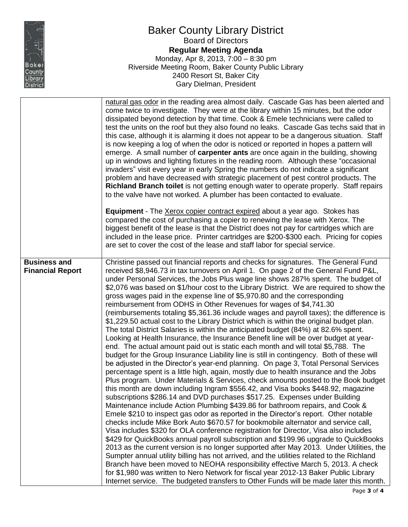

## Baker County Library District Board of Directors **Regular Meeting Agenda** Monday, Apr 8, 2013, 7:00 – 8:30 pm Riverside Meeting Room, Baker County Public Library 2400 Resort St, Baker City Gary Dielman, President

|                                                | natural gas odor in the reading area almost daily. Cascade Gas has been alerted and<br>come twice to investigate. They were at the library within 15 minutes, but the odor<br>dissipated beyond detection by that time. Cook & Emele technicians were called to<br>test the units on the roof but they also found no leaks. Cascade Gas techs said that in<br>this case, although it is alarming it does not appear to be a dangerous situation. Staff<br>is now keeping a log of when the odor is noticed or reported in hopes a pattern will<br>emerge. A small number of <b>carpenter ants</b> are once again in the building, showing<br>up in windows and lighting fixtures in the reading room. Although these "occasional<br>invaders" visit every year in early Spring the numbers do not indicate a significant<br>problem and have decreased with strategic placement of pest control products. The<br>Richland Branch toilet is not getting enough water to operate properly. Staff repairs<br>to the valve have not worked. A plumber has been contacted to evaluate.<br><b>Equipment</b> - The Xerox copier contract expired about a year ago. Stokes has<br>compared the cost of purchasing a copier to renewing the lease with Xerox. The<br>biggest benefit of the lease is that the District does not pay for cartridges which are<br>included in the lease price. Printer cartridges are \$200-\$300 each. Pricing for copies<br>are set to cover the cost of the lease and staff labor for special service.                                                                                                                                                                                                                                                                                                                                                                                                                                                                                                                                                                                                                                                                                                                                                                                                                                                                                   |
|------------------------------------------------|------------------------------------------------------------------------------------------------------------------------------------------------------------------------------------------------------------------------------------------------------------------------------------------------------------------------------------------------------------------------------------------------------------------------------------------------------------------------------------------------------------------------------------------------------------------------------------------------------------------------------------------------------------------------------------------------------------------------------------------------------------------------------------------------------------------------------------------------------------------------------------------------------------------------------------------------------------------------------------------------------------------------------------------------------------------------------------------------------------------------------------------------------------------------------------------------------------------------------------------------------------------------------------------------------------------------------------------------------------------------------------------------------------------------------------------------------------------------------------------------------------------------------------------------------------------------------------------------------------------------------------------------------------------------------------------------------------------------------------------------------------------------------------------------------------------------------------------------------------------------------------------------------------------------------------------------------------------------------------------------------------------------------------------------------------------------------------------------------------------------------------------------------------------------------------------------------------------------------------------------------------------------------------------------------------------------------------------------------------------------------------------------------------------|
| <b>Business and</b><br><b>Financial Report</b> | Christine passed out financial reports and checks for signatures. The General Fund<br>received \$8,946.73 in tax turnovers on April 1. On page 2 of the General Fund P&L,<br>under Personal Services, the Jobs Plus wage line shows 287% spent. The budget of<br>\$2,076 was based on \$1/hour cost to the Library District. We are required to show the<br>gross wages paid in the expense line of \$5,970.80 and the corresponding<br>reimbursement from ODHS in Other Revenues for wages of \$4,741.30<br>(reimbursements totaling \$5,361.36 include wages and payroll taxes); the difference is<br>\$1,229.50 actual cost to the Library District which is within the original budget plan.<br>The total District Salaries is within the anticipated budget (84%) at 82.6% spent.<br>Looking at Health Insurance, the Insurance Benefit line will be over budget at year-<br>end. The actual amount paid out is static each month and will total \$5,788. The<br>budget for the Group Insurance Liability line is still in contingency. Both of these will<br>be adjusted in the Director's year-end planning. On page 3, Total Personal Services<br>percentage spent is a little high, again, mostly due to health insurance and the Jobs<br>Plus program. Under Materials & Services, check amounts posted to the Book budget<br>this month are down including Ingram \$556.42, and Visa books \$448.92, magazine<br>subscriptions \$286.14 and DVD purchases \$517.25. Expenses under Building<br>Maintenance include Action Plumbing \$439.86 for bathroom repairs, and Cook &<br>Emele \$210 to inspect gas odor as reported in the Director's report. Other notable<br>checks include Mike Bork Auto \$670.57 for bookmobile alternator and service call,<br>Visa includes \$320 for OLA conference registration for Director, Visa also includes<br>\$429 for QuickBooks annual payroll subscription and \$199.96 upgrade to QuickBooks<br>2013 as the current version is no longer supported after May 2013. Under Utilities, the<br>Sumpter annual utility billing has not arrived, and the utilities related to the Richland<br>Branch have been moved to NEOHA responsibility effective March 5, 2013. A check<br>for \$1,980 was written to Nero Network for fiscal year 2012-13 Baker Public Library<br>Internet service. The budgeted transfers to Other Funds will be made later this month. |